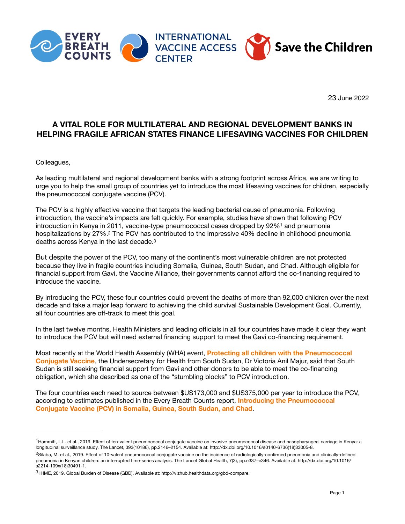

<span id="page-0-3"></span>23 June 2022

## **A VITAL ROLE FOR MULTILATERAL AND REGIONAL DEVELOPMENT BANKS IN HELPING FRAGILE AFRICAN STATES FINANCE LIFESAVING VACCINES FOR CHILDREN**

Colleagues,

As leading multilateral and regional development banks with a strong footprint across Africa, we are writing to urge you to help the small group of countries yet to introduce the most lifesaving vaccines for children, especially the pneumococcal conjugate vaccine (PCV).

<span id="page-0-4"></span>The PCV is a highly effective vaccine that targets the leading bacterial cause of pneumonia. Following introduction, the vaccine's impacts are felt quickly. For example, studies have shown that following PCV introduction in Kenya in 20[1](#page-0-0)1, vaccine-type pneumococcal cases dropped by  $92\%$ <sup>1</sup> and pneumonia hospitalizations by [2](#page-0-1)7%.<sup>2</sup> The PCV has contributed to the impressive 40% decline in childhood pneumonia deaths across Kenya in the last decade[.3](#page-0-2)

<span id="page-0-5"></span>But despite the power of the PCV, too many of the continent's most vulnerable children are not protected because they live in fragile countries including Somalia, Guinea, South Sudan, and Chad. Although eligible for financial support from Gavi, the Vaccine Alliance, their governments cannot afford the co-financing required to introduce the vaccine.

By introducing the PCV, these four countries could prevent the deaths of more than 92,000 children over the next decade and take a major leap forward to achieving the child survival Sustainable Development Goal. Currently, all four countries are off-track to meet this goal.

In the last twelve months, Health Ministers and leading officials in all four countries have made it clear they want to introduce the PCV but will need external financing support to meet the Gavi co-financing requirement.

Most recently at the World Health Assembly (WHA) event, **[Protecting all children with the Pneumococcal](https://www.youtube.com/watch?v=GzwB8XnIJxk)  [Conjugate Vaccine](https://www.youtube.com/watch?v=GzwB8XnIJxk)**, the Undersecretary for Health from South Sudan, Dr Victoria Anil Majur, said that South Sudan is still seeking financial support from Gavi and other donors to be able to meet the co-financing obligation, which she described as one of the "stumbling blocks" to PCV introduction.

The four countries each need to source between \$US173,000 and \$US375,000 per year to introduce the PCV, according to estimates published in the Every Breath Counts report, **[Introducing the Pneumococcal](https://stoppneumonia.org/wp-content/uploads/2022/02/EveryBreathCountsIntroducingPCVReport.pdf)  [Conjugate Vaccine \(PCV\) in Somalia, Guinea, South Sudan, and Chad](https://stoppneumonia.org/wp-content/uploads/2022/02/EveryBreathCountsIntroducingPCVReport.pdf)**.

<span id="page-0-0"></span><sup>&</sup>lt;sup>[1](#page-0-3)</sup>Hammitt, L.L. et al., 2019. Effect of ten-valent pneumococcal conjugate vaccine on invasive pneumococcal disease and nasopharyngeal carriage in Kenya: a longitudinal surveillance study. The Lancet, 393(10186), pp.2146–2154. Available at: http://dx.doi.org/10.1016/s0140-6736(18)33005-8.

<span id="page-0-1"></span><sup>&</sup>lt;sup>[2](#page-0-4)</sup>Silaba, M. et al., 2019. Effect of 10-valent pneumococcal conjugate vaccine on the incidence of radiologically-confirmed pneumonia and clinically-defined pneumonia in Kenyan children: an interrupted time-series analysis. The Lancet Global Health, 7(3), pp.e337–e346. Available at: http://dx.doi.org/10.1016/ s2214-109x(18)30491-1.

<span id="page-0-2"></span>IHME, 2019. Global Burden of Disease (GBD). Available at: http://vizhub.healthdata.org/gbd-compare. [3](#page-0-5)